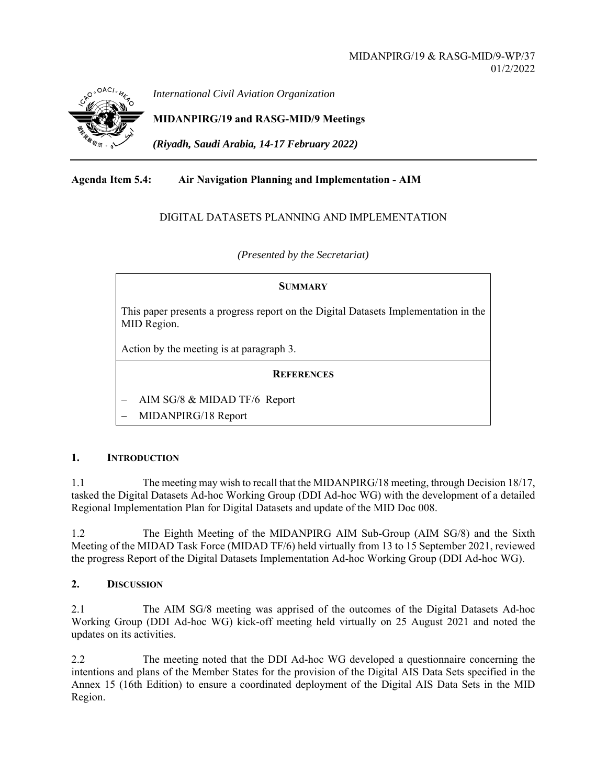

*International Civil Aviation Organization*

**MIDANPIRG/19 and RASG-MID/9 Meetings** 

*(Riyadh, Saudi Arabia, 14-17 February 2022)* 

# **Agenda Item 5.4: Air Navigation Planning and Implementation - AIM**

## DIGITAL DATASETS PLANNING AND IMPLEMENTATION

*(Presented by the Secretariat)* 

#### **SUMMARY**

This paper presents a progress report on the Digital Datasets Implementation in the MID Region.

Action by the meeting is at paragraph 3.

### **REFERENCES**

AIM SG/8 & MIDAD TF/6 Report

MIDANPIRG/18 Report

#### **1. INTRODUCTION**

1.1 The meeting may wish to recall that the MIDANPIRG/18 meeting, through Decision 18/17, tasked the Digital Datasets Ad-hoc Working Group (DDI Ad-hoc WG) with the development of a detailed Regional Implementation Plan for Digital Datasets and update of the MID Doc 008.

1.2 The Eighth Meeting of the MIDANPIRG AIM Sub-Group (AIM SG/8) and the Sixth Meeting of the MIDAD Task Force (MIDAD TF/6) held virtually from 13 to 15 September 2021, reviewed the progress Report of the Digital Datasets Implementation Ad-hoc Working Group (DDI Ad-hoc WG).

#### **2. DISCUSSION**

2.1 The AIM SG/8 meeting was apprised of the outcomes of the Digital Datasets Ad-hoc Working Group (DDI Ad-hoc WG) kick-off meeting held virtually on 25 August 2021 and noted the updates on its activities.

2.2 The meeting noted that the DDI Ad-hoc WG developed a questionnaire concerning the intentions and plans of the Member States for the provision of the Digital AIS Data Sets specified in the Annex 15 (16th Edition) to ensure a coordinated deployment of the Digital AIS Data Sets in the MID Region.